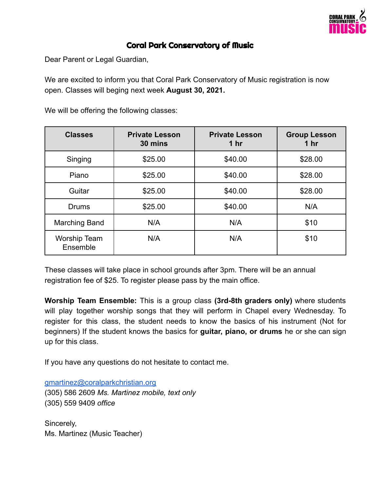

## Coral Park Conservatory of Music

Dear Parent or Legal Guardian,

We are excited to inform you that Coral Park Conservatory of Music registration is now open. Classes will beging next week **August 30, 2021.**

**Classes Private Lesson 30 mins Private Lesson 1 hr Group Lesson 1 hr** Singing | \$25.00 | \$40.00 | \$28.00 Piano | \$25.00 | \$40.00 | \$28.00 Guitar | \$25.00 | \$40.00 | \$28.00 Drums | \$25.00 | \$40.00 | N/A Marching Band N/A N/A N/A N/A \$10 Worship Team Ensemble N/A | N/A | \$10

We will be offering the following classes:

These classes will take place in school grounds after 3pm. There will be an annual registration fee of \$25. To register please pass by the main office.

**Worship Team Ensemble:** This is a group class **(3rd-8th graders only)** where students will play together worship songs that they will perform in Chapel every Wednesday. To register for this class, the student needs to know the basics of his instrument (Not for beginners) If the student knows the basics for **guitar, piano, or drums** he or she can sign up for this class.

If you have any questions do not hesitate to contact me.

[gmartinez@coralparkchristian.org](mailto:gmartinez@coralparkchristian.org) (305) 586 2609 *Ms. Martinez mobile, text only* (305) 559 9409 *office*

Sincerely, Ms. Martinez (Music Teacher)